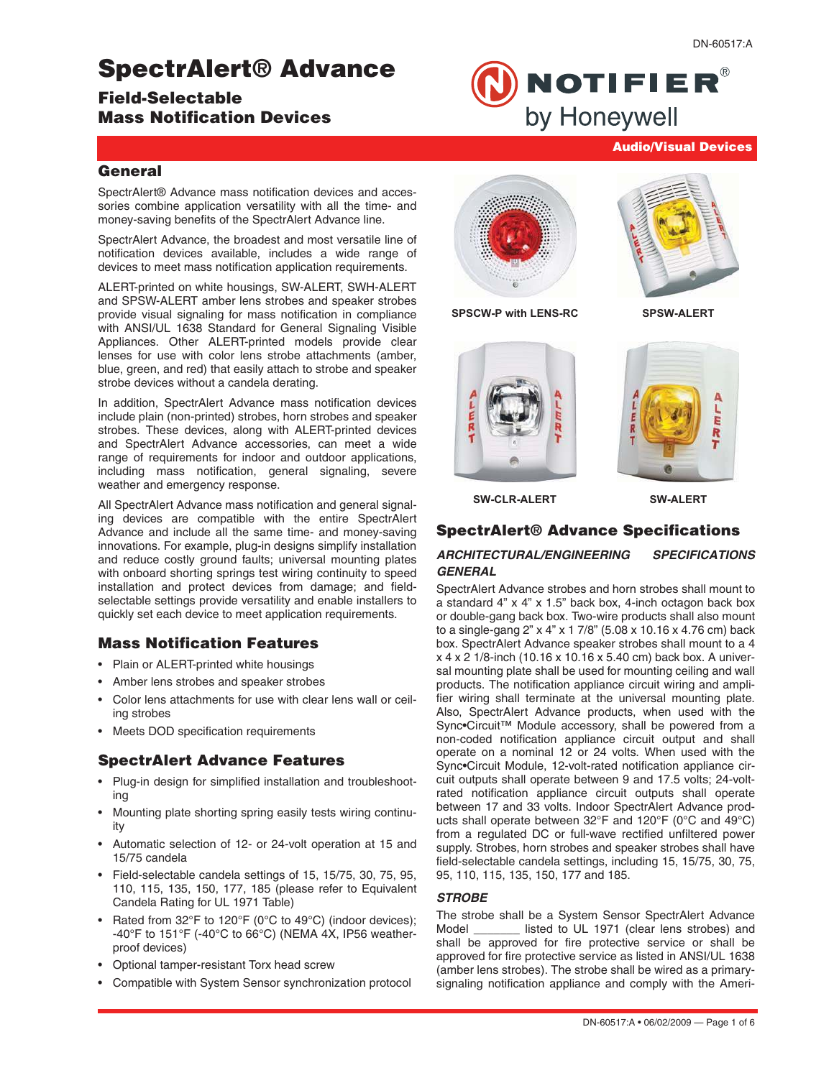# SpectrAlert® Advance

# Field-Selectable Mass Notification Devices

**NOTIFIER®** by Honeywell

# DN-60517:A

# **General**

SpectrAlert® Advance mass notification devices and accessories combine application versatility with all the time- and money-saving benefits of the SpectrAlert Advance line.

SpectrAlert Advance, the broadest and most versatile line of notification devices available, includes a wide range of devices to meet mass notification application requirements.

ALERT-printed on white housings, SW-ALERT, SWH-ALERT and SPSW-ALERT amber lens strobes and speaker strobes provide visual signaling for mass notification in compliance with ANSI/UL 1638 Standard for General Signaling Visible Appliances. Other ALERT-printed models provide clear lenses for use with color lens strobe attachments (amber, blue, green, and red) that easily attach to strobe and speaker strobe devices without a candela derating.

In addition, SpectrAlert Advance mass notification devices include plain (non-printed) strobes, horn strobes and speaker strobes. These devices, along with ALERT-printed devices and SpectrAlert Advance accessories, can meet a wide range of requirements for indoor and outdoor applications, including mass notification, general signaling, severe weather and emergency response.

All SpectrAlert Advance mass notification and general signaling devices are compatible with the entire SpectrAlert Advance and include all the same time- and money-saving innovations. For example, plug-in designs simplify installation and reduce costly ground faults; universal mounting plates with onboard shorting springs test wiring continuity to speed installation and protect devices from damage; and fieldselectable settings provide versatility and enable installers to quickly set each device to meet application requirements.

# Mass Notification Features

- Plain or ALERT-printed white housings
- Amber lens strobes and speaker strobes
- Color lens attachments for use with clear lens wall or ceiling strobes
- Meets DOD specification requirements

# SpectrAlert Advance Features

- Plug-in design for simplified installation and troubleshooting
- Mounting plate shorting spring easily tests wiring continuity
- Automatic selection of 12- or 24-volt operation at 15 and 15/75 candela
- Field-selectable candela settings of 15, 15/75, 30, 75, 95, 110, 115, 135, 150, 177, 185 (please refer to Equivalent Candela Rating for UL 1971 Table)
- Rated from 32°F to 120°F (0°C to 49°C) (indoor devices); -40°F to 151°F (-40°C to 66°C) (NEMA 4X, IP56 weatherproof devices)
- Optional tamper-resistant Torx head screw
- Compatible with System Sensor synchronization protocol





Audio/Visual Devices

**SPSCW-P with LENS-RC SPSW-ALERT**





**SW-CLR-ALERT SW-ALERT**

# SpectrAlert® Advance Specifications

### **ARCHITECTURAL/ENGINEERING SPECIFICATIONS GENERAL**

SpectrAlert Advance strobes and horn strobes shall mount to a standard 4" x 4" x 1.5" back box, 4-inch octagon back box or double-gang back box. Two-wire products shall also mount to a single-gang 2" x 4" x 1 7/8" (5.08 x 10.16 x 4.76 cm) back box. SpectrAlert Advance speaker strobes shall mount to a 4 x 4 x 2 1/8-inch (10.16 x 10.16 x 5.40 cm) back box. A universal mounting plate shall be used for mounting ceiling and wall products. The notification appliance circuit wiring and amplifier wiring shall terminate at the universal mounting plate. Also, SpectrAlert Advance products, when used with the Sync•Circuit™ Module accessory, shall be powered from a non-coded notification appliance circuit output and shall operate on a nominal 12 or 24 volts. When used with the Sync•Circuit Module, 12-volt-rated notification appliance circuit outputs shall operate between 9 and 17.5 volts; 24-voltrated notification appliance circuit outputs shall operate between 17 and 33 volts. Indoor SpectrAlert Advance products shall operate between 32°F and 120°F (0°C and 49°C) from a regulated DC or full-wave rectified unfiltered power supply. Strobes, horn strobes and speaker strobes shall have field-selectable candela settings, including 15, 15/75, 30, 75, 95, 110, 115, 135, 150, 177 and 185.

#### **STROBE**

The strobe shall be a System Sensor SpectrAlert Advance Model \_\_\_\_\_\_\_ listed to UL 1971 (clear lens strobes) and shall be approved for fire protective service or shall be approved for fire protective service as listed in ANSI/UL 1638 (amber lens strobes). The strobe shall be wired as a primarysignaling notification appliance and comply with the Ameri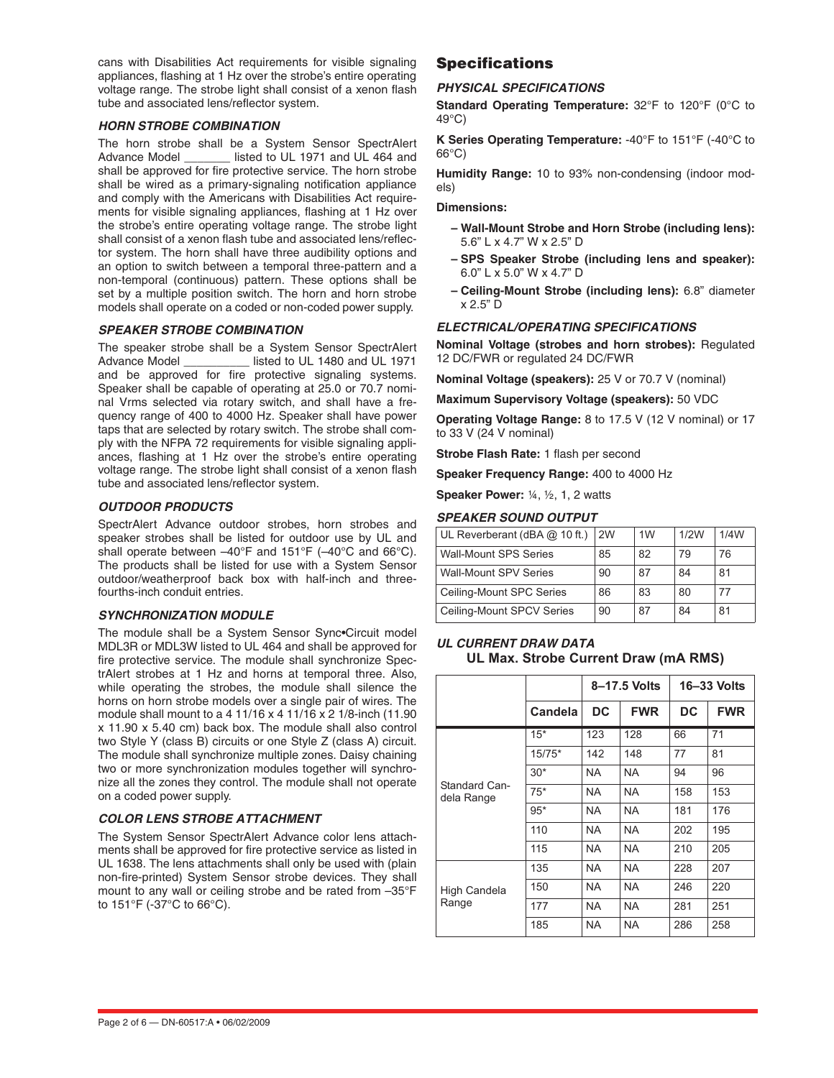cans with Disabilities Act requirements for visible signaling appliances, flashing at 1 Hz over the strobe's entire operating voltage range. The strobe light shall consist of a xenon flash tube and associated lens/reflector system.

#### **HORN STROBE COMBINATION**

The horn strobe shall be a System Sensor SpectrAlert Advance Model \_\_\_\_\_\_\_ listed to UL 1971 and UL 464 and shall be approved for fire protective service. The horn strobe shall be wired as a primary-signaling notification appliance and comply with the Americans with Disabilities Act requirements for visible signaling appliances, flashing at 1 Hz over the strobe's entire operating voltage range. The strobe light shall consist of a xenon flash tube and associated lens/reflector system. The horn shall have three audibility options and an option to switch between a temporal three-pattern and a non-temporal (continuous) pattern. These options shall be set by a multiple position switch. The horn and horn strobe models shall operate on a coded or non-coded power supply.

#### **SPEAKER STROBE COMBINATION**

The speaker strobe shall be a System Sensor SpectrAlert<br>Advance Model \_\_\_\_\_\_\_\_\_\_\_ listed to UL 1480 and UL 1971  $\frac{1}{2}$  listed to UL 1480 and UL 1971 and be approved for fire protective signaling systems. Speaker shall be capable of operating at 25.0 or 70.7 nominal Vrms selected via rotary switch, and shall have a frequency range of 400 to 4000 Hz. Speaker shall have power taps that are selected by rotary switch. The strobe shall comply with the NFPA 72 requirements for visible signaling appliances, flashing at 1 Hz over the strobe's entire operating voltage range. The strobe light shall consist of a xenon flash tube and associated lens/reflector system.

#### **OUTDOOR PRODUCTS**

SpectrAlert Advance outdoor strobes, horn strobes and speaker strobes shall be listed for outdoor use by UL and shall operate between –40°F and 151°F (–40°C and 66°C). The products shall be listed for use with a System Sensor outdoor/weatherproof back box with half-inch and threefourths-inch conduit entries.

#### **SYNCHRONIZATION MODULE**

The module shall be a System Sensor Sync•Circuit model MDL3R or MDL3W listed to UL 464 and shall be approved for fire protective service. The module shall synchronize SpectrAlert strobes at 1 Hz and horns at temporal three. Also, while operating the strobes, the module shall silence the horns on horn strobe models over a single pair of wires. The module shall mount to a 4 11/16 x 4 11/16 x 2 1/8-inch (11.90 x 11.90 x 5.40 cm) back box. The module shall also control two Style Y (class B) circuits or one Style Z (class A) circuit. The module shall synchronize multiple zones. Daisy chaining two or more synchronization modules together will synchronize all the zones they control. The module shall not operate on a coded power supply.

#### **COLOR LENS STROBE ATTACHMENT**

The System Sensor SpectrAlert Advance color lens attachments shall be approved for fire protective service as listed in UL 1638. The lens attachments shall only be used with (plain non-fire-printed) System Sensor strobe devices. They shall mount to any wall or ceiling strobe and be rated from –35°F to 151°F (-37°C to 66°C).

# **Specifications**

#### **PHYSICAL SPECIFICATIONS**

**Standard Operating Temperature:** 32°F to 120°F (0°C to 49°C)

**K Series Operating Temperature:** -40°F to 151°F (-40°C to  $66^{\circ}$ C)

**Humidity Range:** 10 to 93% non-condensing (indoor models)

#### **Dimensions:**

- **Wall-Mount Strobe and Horn Strobe (including lens):** 5.6" L x 4.7" W x 2.5" D
- **SPS Speaker Strobe (including lens and speaker):** 6.0" L x 5.0" W x 4.7" D
- **Ceiling-Mount Strobe (including lens):** 6.8" diameter x 2.5" D

#### **ELECTRICAL/OPERATING SPECIFICATIONS**

**Nominal Voltage (strobes and horn strobes):** Regulated 12 DC/FWR or regulated 24 DC/FWR

**Nominal Voltage (speakers):** 25 V or 70.7 V (nominal)

**Maximum Supervisory Voltage (speakers):** 50 VDC

**Operating Voltage Range:** 8 to 17.5 V (12 V nominal) or 17 to 33 V (24 V nominal)

**Strobe Flash Rate:** 1 flash per second

**Speaker Frequency Range:** 400 to 4000 Hz

**Speaker Power:** ¼, ½, 1, 2 watts

#### **SPEAKER SOUND OUTPUT**

| UL Reverberant (dBA $@$ 10 ft.) | 2W | 1 <sub>W</sub> | 1/2W | 1/4W |
|---------------------------------|----|----------------|------|------|
| <b>Wall-Mount SPS Series</b>    | 85 | 82             | 79   | 76   |
| <b>Wall-Mount SPV Series</b>    | 90 | 87             | 84   | 81   |
| Ceiling-Mount SPC Series        | 86 | 83             | 80   | 77   |
| Ceiling-Mount SPCV Series       | 90 | 87             | 84   | 81   |

#### **UL CURRENT DRAW DATA UL Max. Strobe Current Draw (mA RMS)**

|                             |          |           | 8-17.5 Volts | $16 - 33$ Volts |            |  |
|-----------------------------|----------|-----------|--------------|-----------------|------------|--|
|                             | Candela  | <b>DC</b> | <b>FWR</b>   | <b>DC</b>       | <b>FWR</b> |  |
|                             | $15*$    | 123       | 128          | 66              | 71         |  |
|                             | $15/75*$ | 142       | 148          | 77              | 81         |  |
| Standard Can-<br>dela Range | $30*$    | <b>NA</b> | <b>NA</b>    | 94              | 96         |  |
|                             | $75*$    | <b>NA</b> | <b>NA</b>    | 158             | 153        |  |
|                             | $95*$    | <b>NA</b> | <b>NA</b>    | 181             | 176        |  |
|                             | 110      | NA.       | <b>NA</b>    | 202             | 195        |  |
|                             | 115      | <b>NA</b> | <b>NA</b>    | 210             | 205        |  |
|                             | 135      | NA.       | <b>NA</b>    | 228             | 207        |  |
| High Candela<br>Range       | 150      | NA.       | <b>NA</b>    | 246             | 220        |  |
|                             | 177      | NA        | <b>NA</b>    | 281             | 251        |  |
|                             | 185      | <b>NA</b> | <b>NA</b>    | 286             | 258        |  |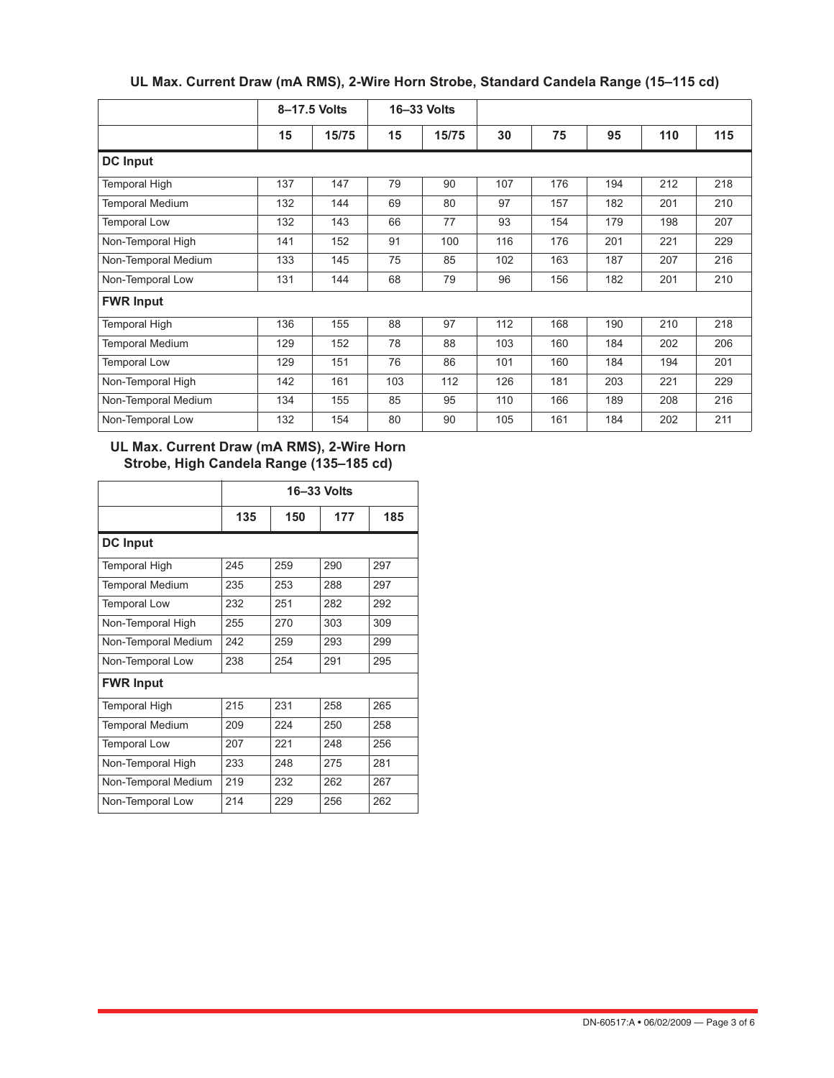|                        |     | 8-17.5 Volts | 16-33 Volts |       |     |     |     |     |     |
|------------------------|-----|--------------|-------------|-------|-----|-----|-----|-----|-----|
|                        | 15  | 15/75        | 15          | 15/75 | 30  | 75  | 95  | 110 | 115 |
| <b>DC</b> Input        |     |              |             |       |     |     |     |     |     |
| Temporal High          | 137 | 147          | 79          | 90    | 107 | 176 | 194 | 212 | 218 |
| <b>Temporal Medium</b> | 132 | 144          | 69          | 80    | 97  | 157 | 182 | 201 | 210 |
| <b>Temporal Low</b>    | 132 | 143          | 66          | 77    | 93  | 154 | 179 | 198 | 207 |
| Non-Temporal High      | 141 | 152          | 91          | 100   | 116 | 176 | 201 | 221 | 229 |
| Non-Temporal Medium    | 133 | 145          | 75          | 85    | 102 | 163 | 187 | 207 | 216 |
| Non-Temporal Low       | 131 | 144          | 68          | 79    | 96  | 156 | 182 | 201 | 210 |
| <b>FWR Input</b>       |     |              |             |       |     |     |     |     |     |
| Temporal High          | 136 | 155          | 88          | 97    | 112 | 168 | 190 | 210 | 218 |
| <b>Temporal Medium</b> | 129 | 152          | 78          | 88    | 103 | 160 | 184 | 202 | 206 |
| <b>Temporal Low</b>    | 129 | 151          | 76          | 86    | 101 | 160 | 184 | 194 | 201 |
| Non-Temporal High      | 142 | 161          | 103         | 112   | 126 | 181 | 203 | 221 | 229 |
| Non-Temporal Medium    | 134 | 155          | 85          | 95    | 110 | 166 | 189 | 208 | 216 |
| Non-Temporal Low       | 132 | 154          | 80          | 90    | 105 | 161 | 184 | 202 | 211 |

# **UL Max. Current Draw (mA RMS), 2-Wire Horn Strobe, Standard Candela Range (15–115 cd)**

# **UL Max. Current Draw (mA RMS), 2-Wire Horn Strobe, High Candela Range (135–185 cd)**

|                        | 16-33 Volts |     |     |     |  |  |  |  |
|------------------------|-------------|-----|-----|-----|--|--|--|--|
|                        | 135         | 150 | 177 | 185 |  |  |  |  |
| <b>DC</b> Input        |             |     |     |     |  |  |  |  |
| Temporal High          | 245         | 259 | 290 | 297 |  |  |  |  |
| <b>Temporal Medium</b> | 235         | 253 | 288 | 297 |  |  |  |  |
| <b>Temporal Low</b>    | 232         | 251 | 282 | 292 |  |  |  |  |
| Non-Temporal High      | 255         | 270 | 303 | 309 |  |  |  |  |
| Non-Temporal Medium    | 242         | 259 | 293 | 299 |  |  |  |  |
| Non-Temporal Low       | 238         | 254 | 291 | 295 |  |  |  |  |
| <b>FWR Input</b>       |             |     |     |     |  |  |  |  |
| <b>Temporal High</b>   | 215         | 231 | 258 | 265 |  |  |  |  |
| <b>Temporal Medium</b> | 209         | 224 | 250 | 258 |  |  |  |  |
| <b>Temporal Low</b>    | 207         | 221 | 248 | 256 |  |  |  |  |
| Non-Temporal High      | 233         | 248 | 275 | 281 |  |  |  |  |
| Non-Temporal Medium    | 219         | 232 | 262 | 267 |  |  |  |  |
| Non-Temporal Low       | 214         | 229 | 256 | 262 |  |  |  |  |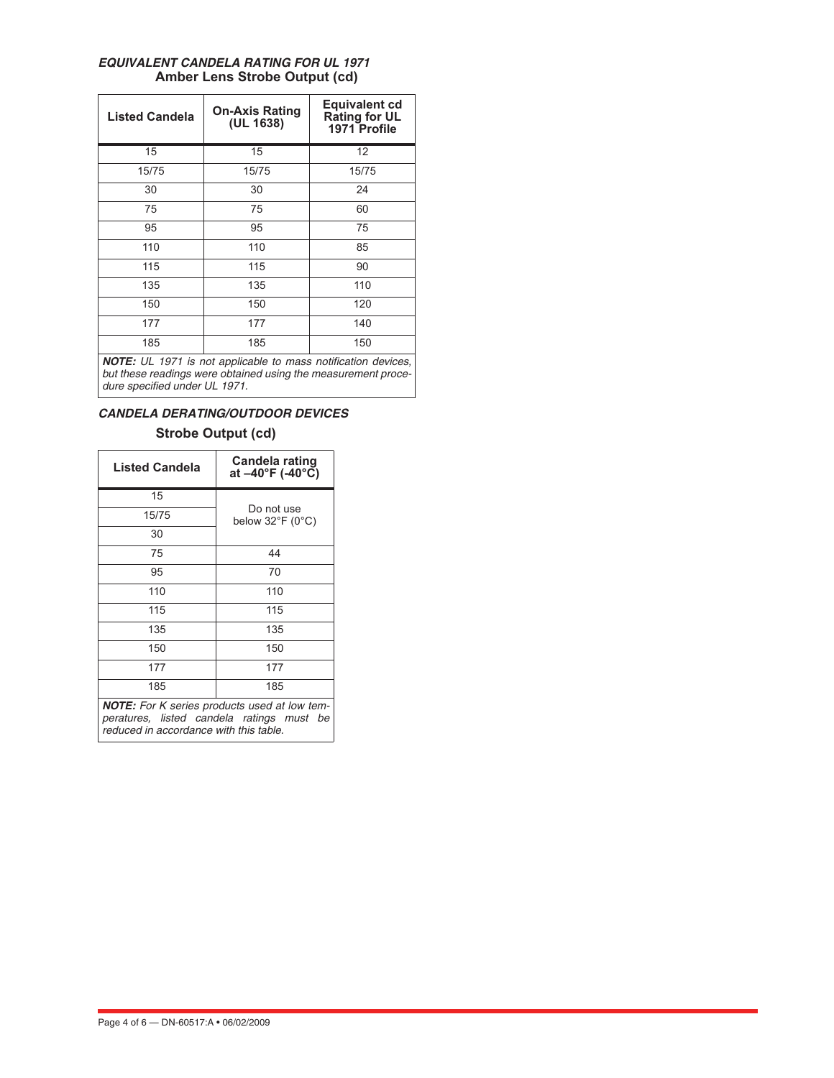| <b>Listed Candela</b> | <b>On-Axis Rating</b><br>(UL 1638)                                                   | <b>Equivalent cd</b><br><b>Rating for UL</b><br>1971 Profile |
|-----------------------|--------------------------------------------------------------------------------------|--------------------------------------------------------------|
| 15                    | 15                                                                                   | 12                                                           |
| 15/75                 | 15/75                                                                                | 15/75                                                        |
| 30                    | 30                                                                                   | 24                                                           |
| 75                    | 75                                                                                   | 60                                                           |
| 95                    | 95                                                                                   | 75                                                           |
| 110                   | 110                                                                                  | 85                                                           |
| 115                   | 115                                                                                  | 90                                                           |
| 135                   | 135                                                                                  | 110                                                          |
| 150                   | 150                                                                                  | 120                                                          |
| 177                   | 177                                                                                  | 140                                                          |
| 185                   | 185                                                                                  | 150                                                          |
|                       | $M \cap \mathcal{T} \cap \ldots$ if it is not equipped to prove politicalize deviate |                                                              |

### **EQUIVALENT CANDELA RATING FOR UL 1971 Amber Lens Strobe Output (cd)**

**NOTE:** UL 1971 is not applicable to mass notification devices, but these readings were obtained using the measurement procedure specified under UL 1971.

# **CANDELA DERATING/OUTDOOR DEVICES**

# **Strobe Output (cd)**

| <b>Listed Candela</b>                                                                                                                      | Candela rating<br>at –40°F (-40°C)       |  |  |  |  |
|--------------------------------------------------------------------------------------------------------------------------------------------|------------------------------------------|--|--|--|--|
| 15                                                                                                                                         |                                          |  |  |  |  |
| 15/75                                                                                                                                      | Do not use<br>below $32^{\circ}$ F (0°C) |  |  |  |  |
| 30                                                                                                                                         |                                          |  |  |  |  |
| 75                                                                                                                                         | 44                                       |  |  |  |  |
| 95                                                                                                                                         | 70                                       |  |  |  |  |
| 110                                                                                                                                        | 110                                      |  |  |  |  |
| 115                                                                                                                                        | 115<br>135                               |  |  |  |  |
| 135                                                                                                                                        |                                          |  |  |  |  |
| 150                                                                                                                                        | 150                                      |  |  |  |  |
| 177                                                                                                                                        | 177                                      |  |  |  |  |
| 185                                                                                                                                        | 185                                      |  |  |  |  |
| <b>NOTE:</b> For K series products used at low tem-<br>peratures, listed candela ratings must be<br>reduced in accordance with this table. |                                          |  |  |  |  |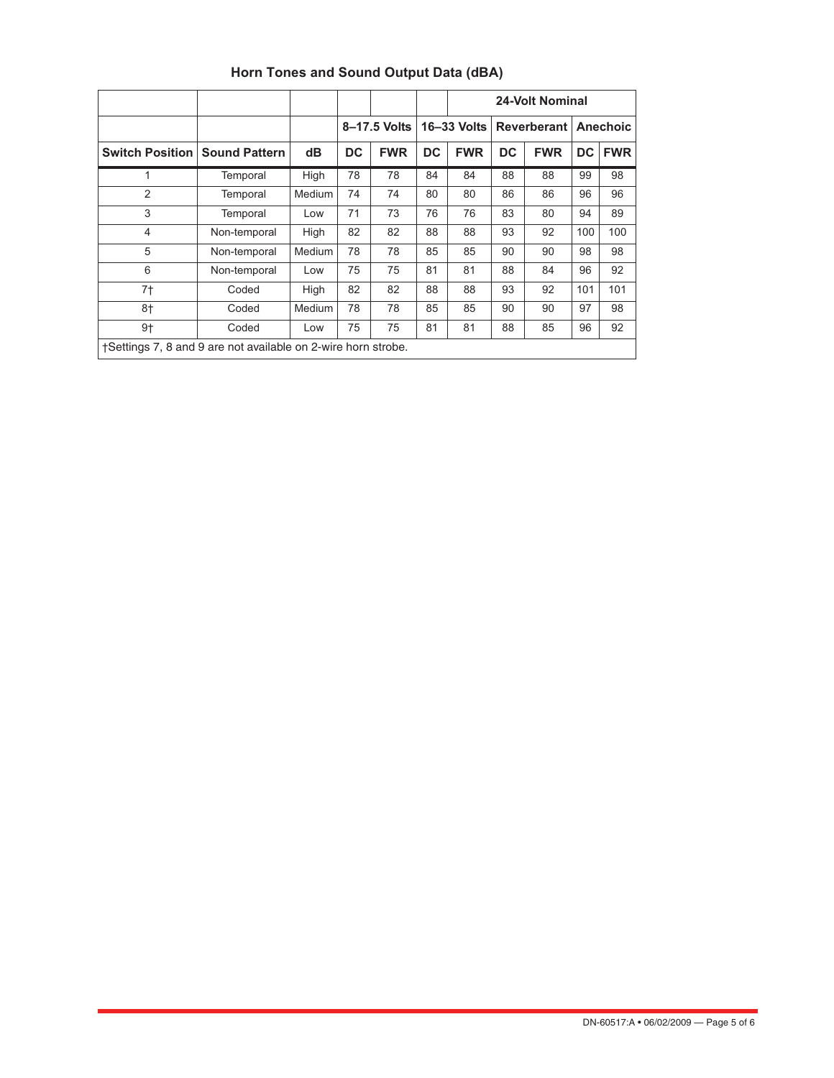|                                                               |                      |        |           |              |    | 24-Volt Nominal                   |    |            |                 |            |
|---------------------------------------------------------------|----------------------|--------|-----------|--------------|----|-----------------------------------|----|------------|-----------------|------------|
|                                                               |                      |        |           | 8-17.5 Volts |    | 16-33 Volts<br><b>Reverberant</b> |    |            | <b>Anechoic</b> |            |
| <b>Switch Position</b>                                        | <b>Sound Pattern</b> | dВ     | <b>DC</b> | <b>FWR</b>   | DC | <b>FWR</b>                        | DC | <b>FWR</b> | DC              | <b>FWR</b> |
| 1                                                             | Temporal             | High   | 78        | 78           | 84 | 84                                | 88 | 88         | 99              | 98         |
| 2                                                             | Temporal             | Medium | 74        | 74           | 80 | 80                                | 86 | 86         | 96              | 96         |
| 3                                                             | Temporal             | Low    | 71        | 73           | 76 | 76                                | 83 | 80         | 94              | 89         |
| $\overline{4}$                                                | Non-temporal         | High   | 82        | 82           | 88 | 88                                | 93 | 92         | 100             | 100        |
| 5                                                             | Non-temporal         | Medium | 78        | 78           | 85 | 85                                | 90 | 90         | 98              | 98         |
| 6                                                             | Non-temporal         | Low    | 75        | 75           | 81 | 81                                | 88 | 84         | 96              | 92         |
| 7†                                                            | Coded                | High   | 82        | 82           | 88 | 88                                | 93 | 92         | 101             | 101        |
| 8†                                                            | Coded                | Medium | 78        | 78           | 85 | 85                                | 90 | 90         | 97              | 98         |
| $9+$                                                          | Coded                | Low    | 75        | 75           | 81 | 81                                | 88 | 85         | 96              | 92         |
| †Settings 7, 8 and 9 are not available on 2-wire horn strobe. |                      |        |           |              |    |                                   |    |            |                 |            |

# **Horn Tones and Sound Output Data (dBA)**